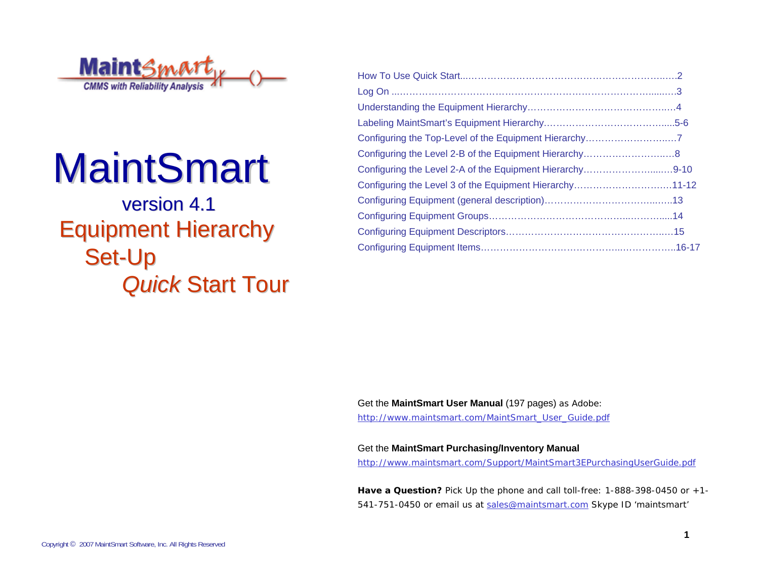

# **MaintSmart**

### version 4.1 **Equipment Hierarchy** Set-Up **Quick Start Tour**

| Configuring the Level 2-A of the Equipment Hierarchy9-10 |  |
|----------------------------------------------------------|--|
| Configuring the Level 3 of the Equipment Hierarchy11-12  |  |
|                                                          |  |
|                                                          |  |
|                                                          |  |
|                                                          |  |

Get the **MaintSmart User Manual** (197 pages) as Adobe: http://www.maintsmart.com/MaintSmart\_User\_Guide.pdf

Get the **MaintSmart Purchasing/Inventory Manual** http://www.maintsmart.com/Support/MaintSmart3EPurchasingUserGuide.pdf

**Have a Question?** Pick Up the phone and call toll-free: 1-888-398-0450 or +1- 541-751-0450 or email us at sales@maintsmart.com Skype ID 'maintsmart'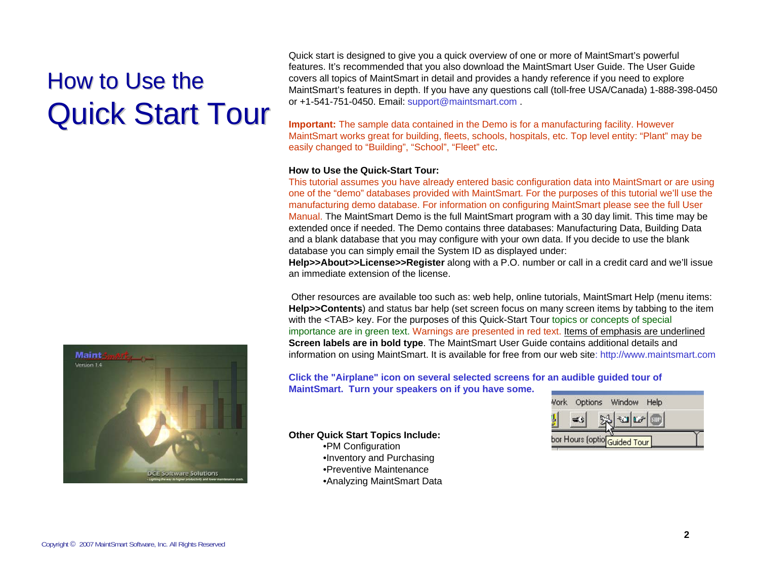## How to Use the **Quick Start Tour**

Quick start is designed to give you a quick overview of one or more of MaintSmart's powerful features. It's recommended that you also download the MaintSmart User Guide. The User Guide covers all topics of MaintSmart in detail and provides a handy reference if you need to explore MaintSmart's features in depth. If you have any questions call (toll-free USA/Canada) 1-888-398-0450 or +1-541-751-0450. Email: support@maintsmart.com .

**Important:** The sample data contained in the Demo is for a manufacturing facility. However MaintSmart works great for building, fleets, schools, hospitals, etc. Top level entity: "Plant" may be easily changed to "Building", "School", "Fleet" etc.

#### **How to Use the Quick-Start Tour:**

This tutorial assumes you have already entered basic configuration data into MaintSmart or are using one of the "demo" databases provided with MaintSmart. For the purposes of this tutorial we'll use the manufacturing demo database. For information on configuring MaintSmart please see the full User Manual. The MaintSmart Demo is the full MaintSmart program with a 30 day limit. This time may be extended once if needed. The Demo contains three databases: Manufacturing Data, Building Data and a blank database that you may configure with your own data. If you decide to use the blank database you can simply email the System ID as displayed under:

**Help>>About>>License>>Register** along with a P.O. number or call in a credit card and we'll issue an immediate extension of the license.

Other resources are available too such as: web help, online tutorials, MaintSmart Help (menu items: **Help>>Contents**) and status bar help (set screen focus on many screen items by tabbing to the item with the <TAB> key. For the purposes of this Quick-Start Tour topics or concepts of special importance are in green text. Warnings are presented in red text. Items of emphasis are underlined **Screen labels are in bold type**. The MaintSmart User Guide contains additional details and information on using MaintSmart. It is available for free from our web site: http://www.maintsmart.com

**Click the "Airplane" icon on several selected screens for an audible guided tour of MaintSmart. Turn your speakers on if you have some.**

**Other Quick Start Topics Include:** •PM Configuration •Inventory and Purchasing •Preventive Maintenance•Analyzing MaintSmart Data



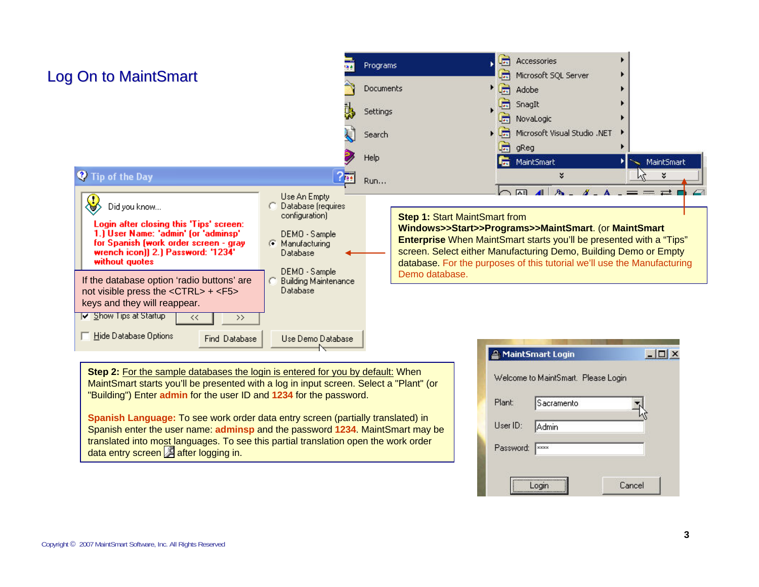

translated into most languages. To see this partial translation open the work order data entry screen  $\sqrt{2}$  after logging in.

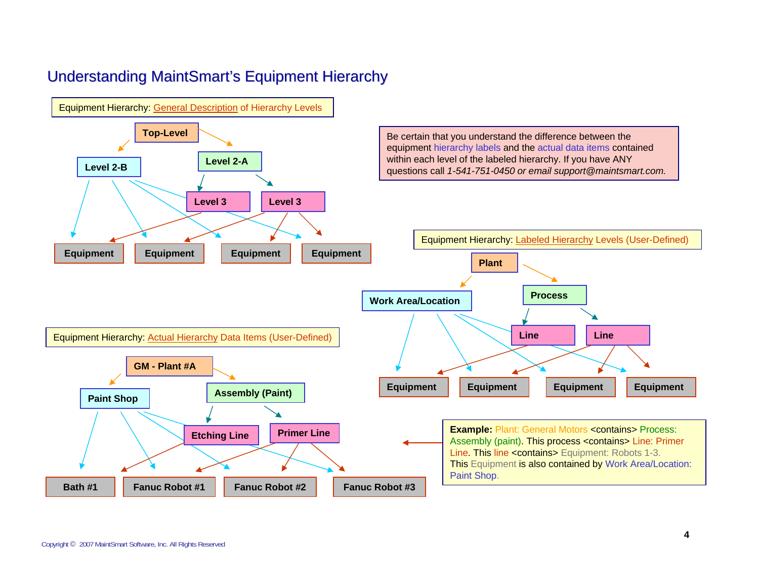#### Understanding MaintSmart's Equipment Hierarchy

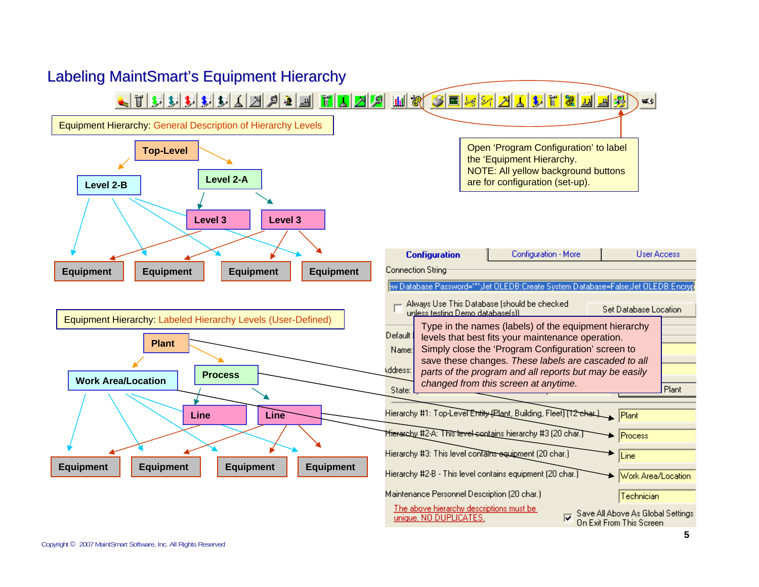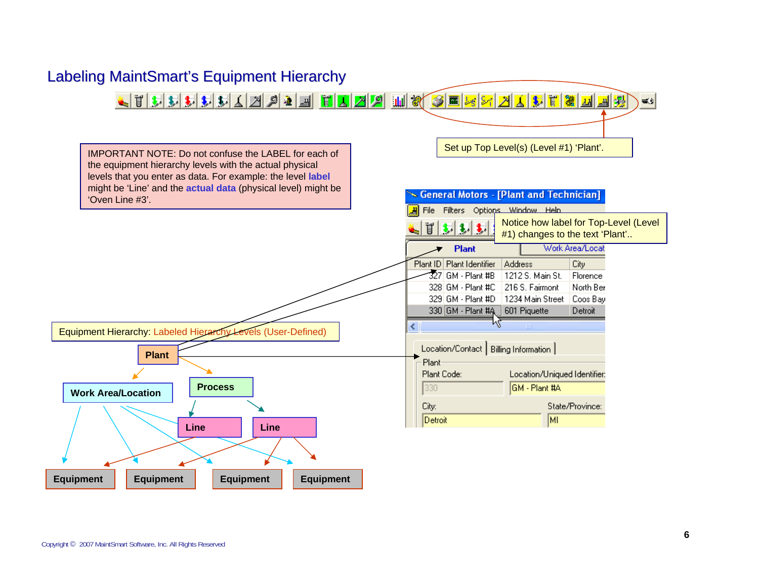

#### Labeling MaintSmart's Equipment Hierarchy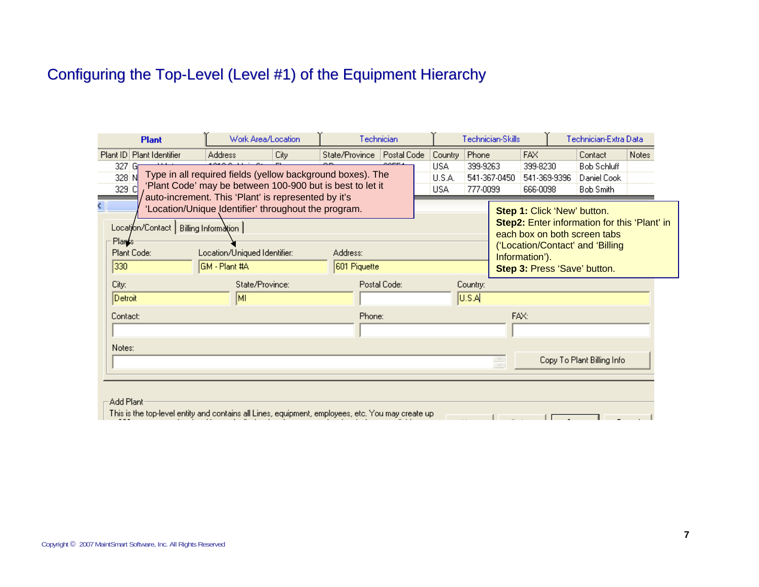### Configuring the Top-Level (Level #1) of the Equipment Hierarchy

| <b>Plant</b>                                                                                                                                       |                                                                                                                | Work Area/Location                                                                                                                                                                                  |      | Technician     |              |                             |                                                                                                                                                        | Technician-Skills                    |                                                | Technician-Extra Data |                                                |       |  |
|----------------------------------------------------------------------------------------------------------------------------------------------------|----------------------------------------------------------------------------------------------------------------|-----------------------------------------------------------------------------------------------------------------------------------------------------------------------------------------------------|------|----------------|--------------|-----------------------------|--------------------------------------------------------------------------------------------------------------------------------------------------------|--------------------------------------|------------------------------------------------|-----------------------|------------------------------------------------|-------|--|
|                                                                                                                                                    | Plant ID Plant Identifier                                                                                      | Address                                                                                                                                                                                             | City | State/Province | Postal Code  | Phone<br>Country            |                                                                                                                                                        |                                      | <b>FAX</b>                                     |                       | Contact                                        | Notes |  |
| 327 G<br>Type in all required fields (yellow background boxes). The<br>328 N<br>'Plant Code' may be between 100-900 but is best to let it<br>329 C |                                                                                                                |                                                                                                                                                                                                     |      |                |              | USA<br>U.S.A.<br><b>USA</b> | 399-9263<br>777-0099                                                                                                                                   | 399-8230<br>541-367-0450<br>666-0098 |                                                | 541-369-9396          | <b>Bob Schluff</b><br>Daniel Cook<br>Bob Smith |       |  |
| ¢.                                                                                                                                                 | Plants<br>Plant Code:                                                                                          | auto-increment. This 'Plant' is represented by it's<br>'Location/Unique Identifier' throughout the program.<br>Location/Contact   Billing Information  <br>Location/Uniqued Identifier:<br>Address: |      |                |              |                             | Step 1: Click 'New' button.<br><b>Step2:</b> Enter information for this 'Plant' in<br>each box on both screen tabs<br>('Location/Contact' and 'Billing |                                      |                                                |                       |                                                |       |  |
|                                                                                                                                                    | 330<br> GM - Plant #A                                                                                          |                                                                                                                                                                                                     |      |                | 601 Piquette |                             |                                                                                                                                                        |                                      | Information').<br>Step 3: Press 'Save' button. |                       |                                                |       |  |
|                                                                                                                                                    | State/Province:<br>City:<br>[MI<br>Detroit                                                                     |                                                                                                                                                                                                     |      | Postal Code:   |              |                             | Country:<br> U.S.A                                                                                                                                     |                                      |                                                |                       |                                                |       |  |
|                                                                                                                                                    | Contact:                                                                                                       |                                                                                                                                                                                                     |      | Phone:         |              |                             |                                                                                                                                                        | FAX:                                 |                                                |                       |                                                |       |  |
|                                                                                                                                                    | Notes:                                                                                                         |                                                                                                                                                                                                     |      |                |              |                             |                                                                                                                                                        | ÷,                                   |                                                |                       | Copy To Plant Billing Info                     |       |  |
|                                                                                                                                                    | Add Plant<br>This is the top-level entity and contains all Lines, equipment, employees, etc. You may create up |                                                                                                                                                                                                     |      |                |              |                             |                                                                                                                                                        |                                      |                                                |                       |                                                |       |  |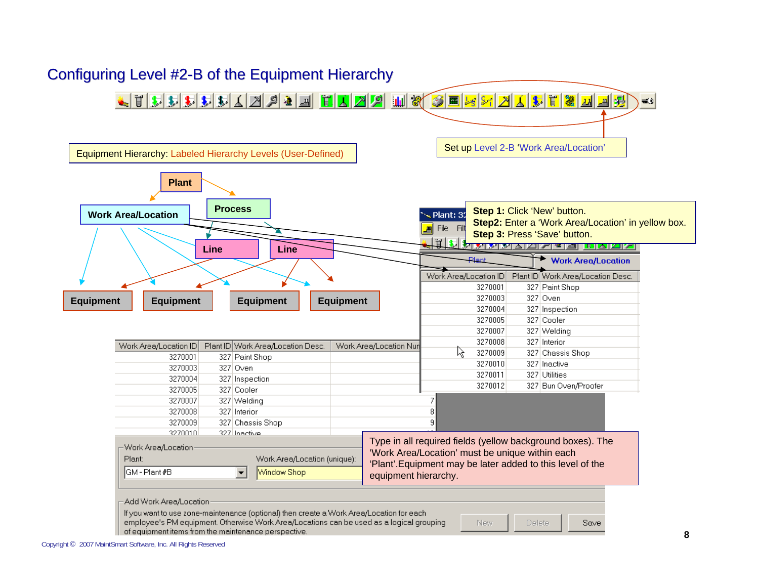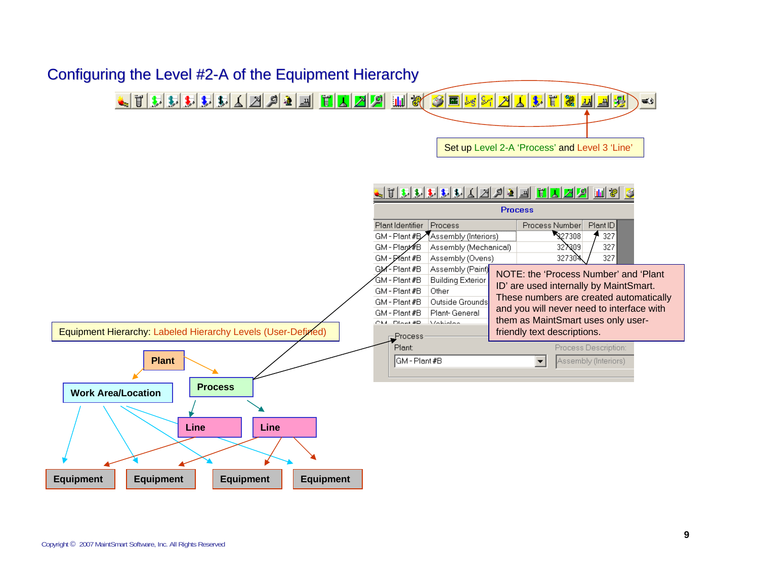

Plant:



Equipment Hierarchy: Labeled Hierarchy Levels (User-Defined)

### **PlantWork Area/Location Process LineEquipment Equipment Equipment Equipment Line**

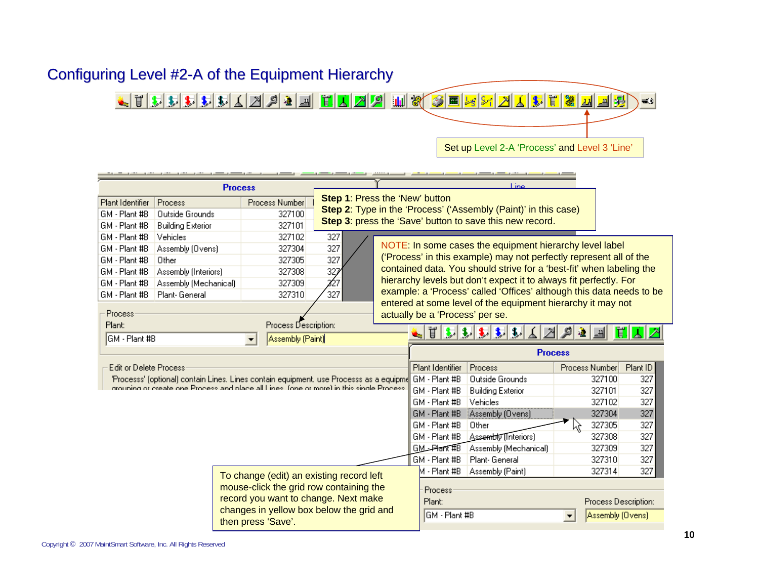

| <b>Process</b>                                                                                            |                                         |                      | Line                                                                        |               |                       |                                |                      |          |  |  |  |
|-----------------------------------------------------------------------------------------------------------|-----------------------------------------|----------------------|-----------------------------------------------------------------------------|---------------|-----------------------|--------------------------------|----------------------|----------|--|--|--|
| <b>Step 1: Press the 'New' button</b><br>Plant Identifier<br>Process<br>Process Number                    |                                         |                      |                                                                             |               |                       |                                |                      |          |  |  |  |
| GM - Plant #B                                                                                             | <b>Outside Grounds</b>                  | 327100               | <b>Step 2:</b> Type in the 'Process' ('Assembly (Paint)' in this case)      |               |                       |                                |                      |          |  |  |  |
| GM - Plant #B                                                                                             | <b>Building Exterior</b>                | 327101               | Step 3: press the 'Save' button to save this new record.                    |               |                       |                                |                      |          |  |  |  |
| GM - Plant #B                                                                                             | Vehicles                                | 327102               | 327                                                                         |               |                       |                                |                      |          |  |  |  |
| GM - Plant #B                                                                                             | Assembly (Ovens)                        | 327304               | NOTE: In some cases the equipment hierarchy level label<br>327              |               |                       |                                |                      |          |  |  |  |
| GM - Plant #B                                                                                             | Other                                   | 327305               | ('Process' in this example) may not perfectly represent all of the<br>327   |               |                       |                                |                      |          |  |  |  |
| GM - Plant #B                                                                                             | Assembly (Interiors)                    | 327308               | contained data. You should strive for a 'best-fit' when labeling the<br>327 |               |                       |                                |                      |          |  |  |  |
| GM - Plant #B                                                                                             | Assembly (Mechanical)                   | 327309               | hierarchy levels but don't expect it to always fit perfectly. For<br>227    |               |                       |                                |                      |          |  |  |  |
| GM - Plant #B                                                                                             | Plant-General                           | 327310               | example: a 'Process' called 'Offices' although this data needs to be<br>327 |               |                       |                                |                      |          |  |  |  |
| entered at some level of the equipment hierarchy it may not<br>Process<br>actually be a 'Process' per se. |                                         |                      |                                                                             |               |                       |                                |                      |          |  |  |  |
| Plant:                                                                                                    |                                         | Process Description: |                                                                             |               | 耳                     |                                |                      | Ţ.       |  |  |  |
| GM - Plant #B<br>Assembly (Paint)<br>$\blacktriangledown$                                                 |                                         |                      |                                                                             |               |                       |                                |                      |          |  |  |  |
|                                                                                                           |                                         |                      |                                                                             |               | <b>Process</b>        |                                |                      |          |  |  |  |
| <b>Edit or Delete Process</b>                                                                             |                                         |                      |                                                                             |               | Plant Identifier      | Process                        | Process Number       | Plant ID |  |  |  |
| 'Processs' (optional) contain Lines. Lines contain equipment, use Processs as a equipme GM - Plant #B     |                                         |                      |                                                                             |               |                       | <b>Outside Grounds</b>         | 327100               | 327      |  |  |  |
| grouping or create one Process and place all Lines. (one or more) in this single Process.                 |                                         |                      |                                                                             |               | GM - Plant #B         | <b>Building Exterior</b>       | 327101               | 327      |  |  |  |
|                                                                                                           |                                         |                      |                                                                             |               | GM - Plant #B         | Vehicles                       | 327102               | 327      |  |  |  |
|                                                                                                           |                                         |                      |                                                                             |               | GM - Plant #B         | Assembly (Ovens)               | 327304               | 327      |  |  |  |
|                                                                                                           |                                         |                      |                                                                             |               | GM - Plant #B         | Other                          | 327305<br>Ņζ         | 327      |  |  |  |
|                                                                                                           |                                         |                      |                                                                             | GM - Plant #B | Assembly [Interiors]  | 327308                         | 327                  |          |  |  |  |
|                                                                                                           |                                         |                      |                                                                             | GM-Plant#B    | Assembly (Mechanical) | 327309                         | 327                  |          |  |  |  |
|                                                                                                           |                                         |                      |                                                                             |               |                       | GM - Plant #B<br>Plant-General | 327310               | 327      |  |  |  |
| To change (edit) an existing record left                                                                  |                                         |                      |                                                                             | M - Plant #B  | Assembly (Paint)      | 327314                         | 327                  |          |  |  |  |
|                                                                                                           | mouse-click the grid row containing the |                      |                                                                             |               |                       |                                |                      |          |  |  |  |
| record you want to change. Next make<br>changes in yellow box below the grid and<br>then press 'Save'.    |                                         |                      |                                                                             |               | Process<br>Plant:     |                                | Process Description: |          |  |  |  |
|                                                                                                           |                                         |                      |                                                                             |               | IGM - Plant #B        | Assembly (Ovens)               |                      |          |  |  |  |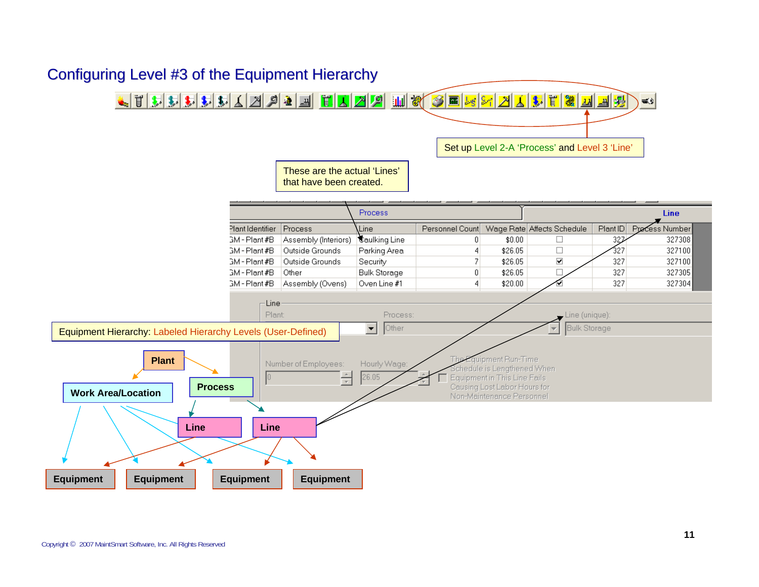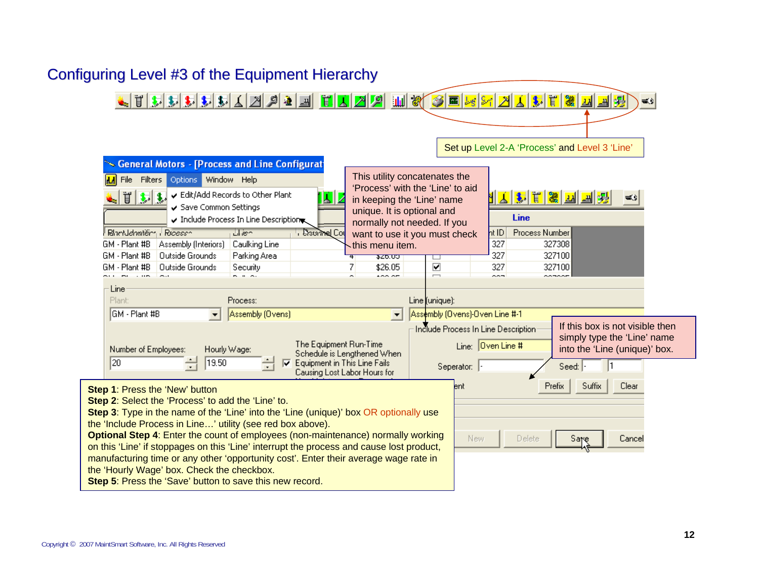

#### Copyright © 2007 MaintSmart Software, Inc. All Rights Reserved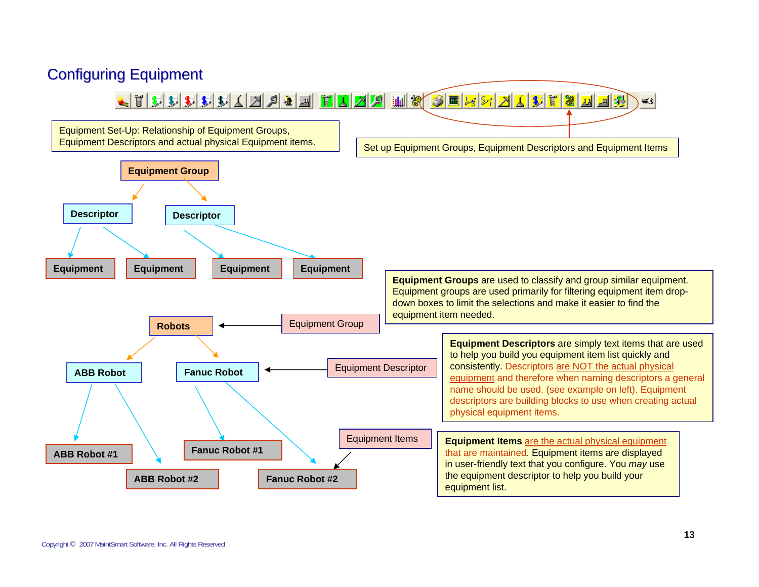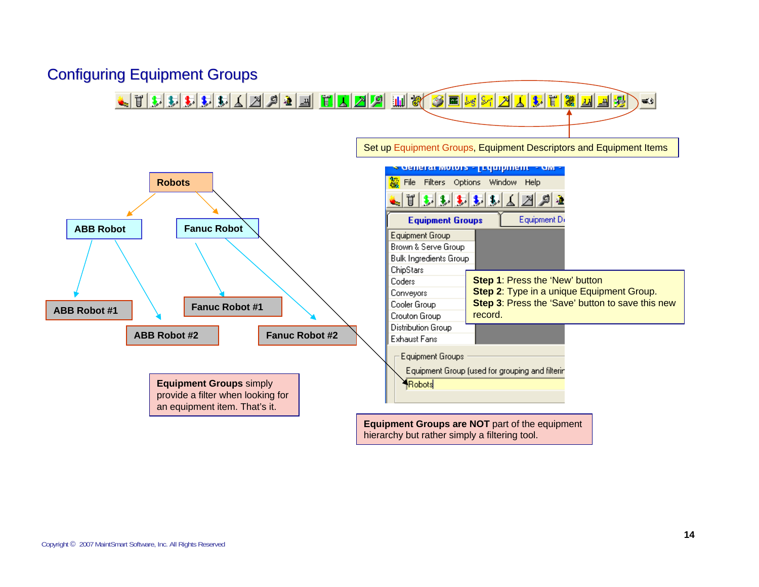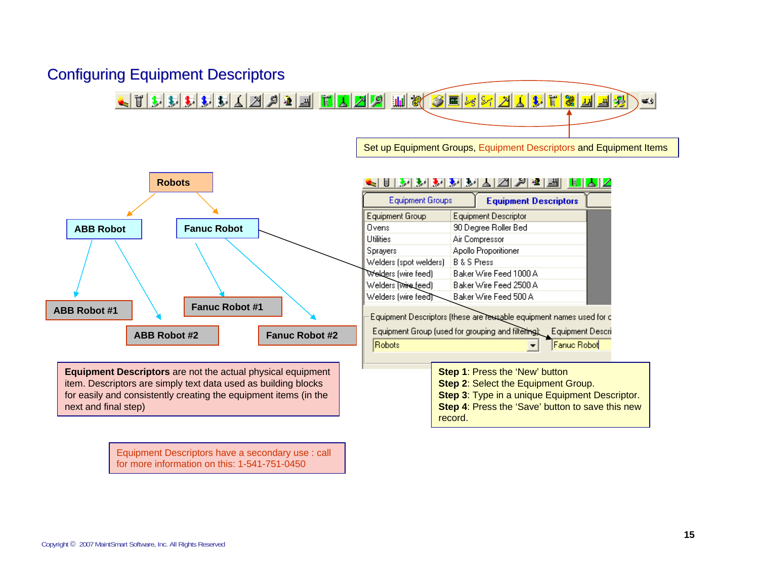#### **Configuring Equipment Descriptors**

<u>Lihabida (h. 1950) hila (h. 1950) hila (h. 1950) hila</u>  $\infty$ 

Set up Equipment Groups, Equipment Descriptors and Equipment Items



Equipment Descriptors have a secondary use : call for more information on this: 1-541-751-0450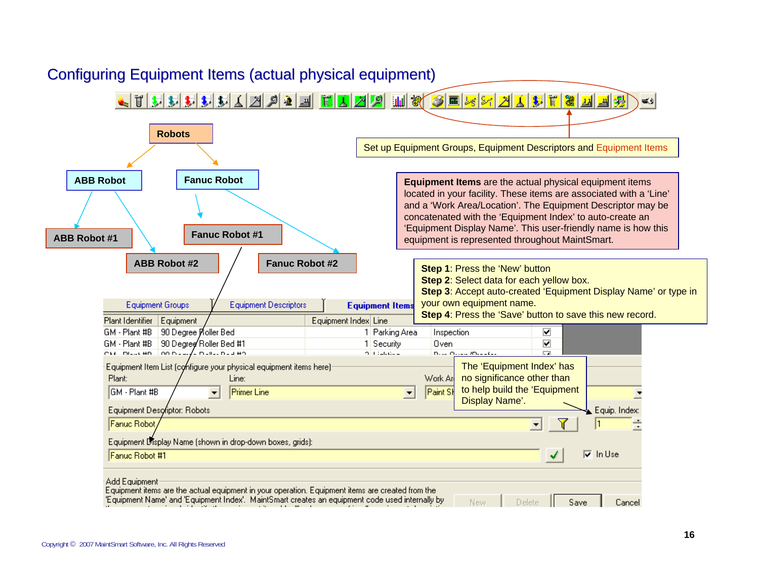

Copyright © 2007 MaintSmart Software, Inc. All Rights Reserved